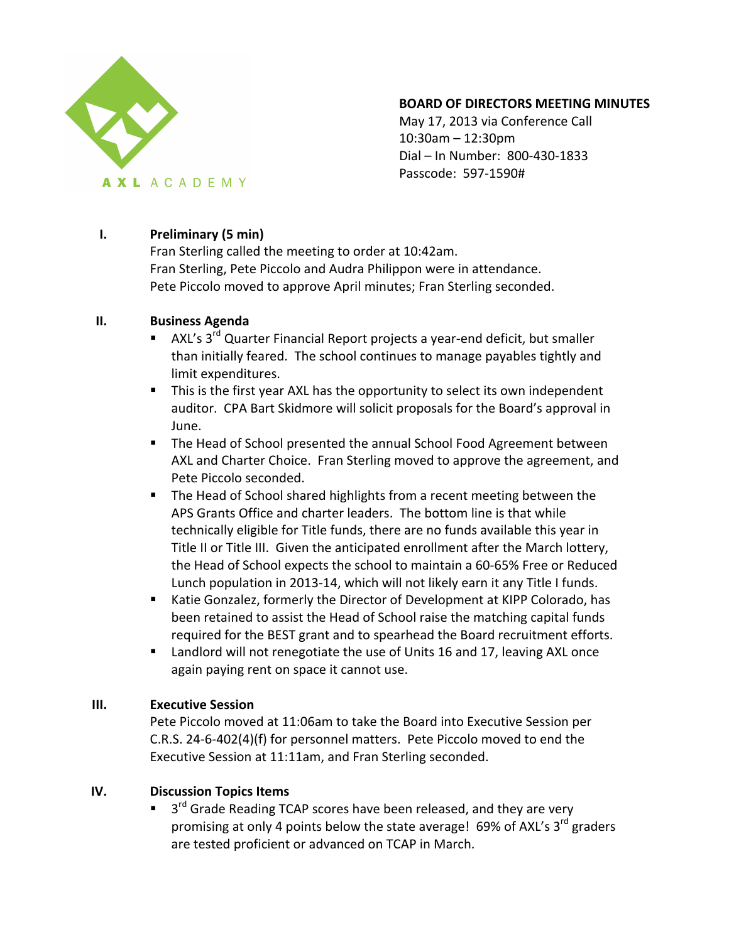

#### **BOARD OF DIRECTORS MEETING MINUTES**

May 17, 2013 via Conference Call  $10:30$ am  $- 12:30$ pm Dial – In Number: 800-430-1833 Passcode: 597-1590#

# **I. Preliminary (5 min)**

Fran Sterling called the meeting to order at 10:42am. Fran Sterling, Pete Piccolo and Audra Philippon were in attendance. Pete Piccolo moved to approve April minutes; Fran Sterling seconded.

# **II. Business Agenda**

- AXL's  $3^{rd}$  Quarter Financial Report projects a year-end deficit, but smaller than initially feared. The school continues to manage payables tightly and limit expenditures.
- **•** This is the first year AXL has the opportunity to select its own independent auditor. CPA Bart Skidmore will solicit proposals for the Board's approval in June.
- The Head of School presented the annual School Food Agreement between AXL and Charter Choice. Fran Sterling moved to approve the agreement, and Pete Piccolo seconded.
- The Head of School shared highlights from a recent meeting between the APS Grants Office and charter leaders. The bottom line is that while technically eligible for Title funds, there are no funds available this year in Title II or Title III. Given the anticipated enrollment after the March lottery, the Head of School expects the school to maintain a 60-65% Free or Reduced Lunch population in 2013-14, which will not likely earn it any Title I funds.
- Katie Gonzalez, formerly the Director of Development at KIPP Colorado, has been retained to assist the Head of School raise the matching capital funds required for the BEST grant and to spearhead the Board recruitment efforts.
- Landlord will not renegotiate the use of Units 16 and 17, leaving AXL once again paying rent on space it cannot use.

# **III. Executive Session**

Pete Piccolo moved at 11:06am to take the Board into Executive Session per C.R.S. 24-6-402(4)(f) for personnel matters. Pete Piccolo moved to end the Executive Session at 11:11am, and Fran Sterling seconded.

# **IV. Discussion Topics Items**

 $\blacksquare$  3<sup>rd</sup> Grade Reading TCAP scores have been released, and they are very promising at only 4 points below the state average! 69% of AXL's 3<sup>rd</sup> graders are tested proficient or advanced on TCAP in March.